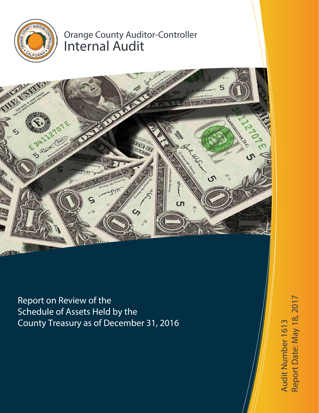

# Orange County Auditor-Controller Internal Audit



Report on Review of the Schedule of Assets Held by the County Treasury as of December 31, 2016

te: May 18, 2017Audit Number 1613 Audit Number 1613 Report D a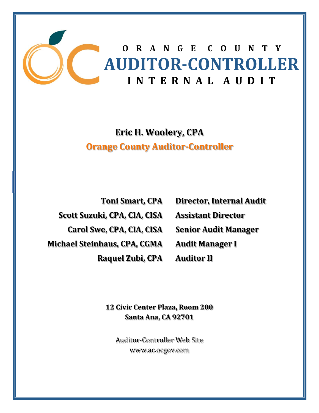

# **Eric H. Woolery, CPA Orange County Auditor‐Controller**

**Toni Smart, CPA Scott Suzuki, CPA, CIA, CISA Carol Swe, CPA, CIA, CISA Michael Steinhaus, CPA, CGMA Raquel Zubi, CPA**

**Director, Internal Audit Assistant Director Senior Audit Manager Audit Manager I**

**Auditor II**

**12 Civic Center Plaza, Room 200 Santa Ana, CA 92701**

Auditor-Controller Web Site www.ac.ocgov.com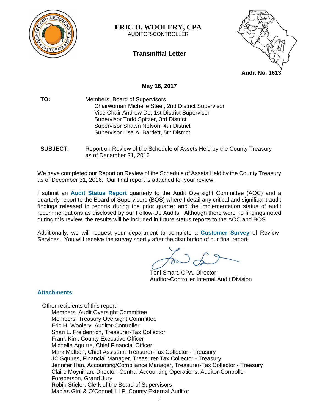

**ERIC H. WOOLERY, CPA**  AUDITOR-CONTROLLER

**Transmittal Letter** 



## **May 18, 2017**

- **TO:** Members, Board of Supervisors Chairwoman Michelle Steel, 2nd District Supervisor Vice Chair Andrew Do, 1st District Supervisor Supervisor Todd Spitzer, 3rd District Supervisor Shawn Nelson, 4th District Supervisor Lisa A. Bartlett, 5th District
- **SUBJECT:** Report on Review of the Schedule of Assets Held by the County Treasury as of December 31, 2016

We have completed our Report on Review of the Schedule of Assets Held by the County Treasury as of December 31, 2016. Our final report is attached for your review.

I submit an **Audit Status Report** quarterly to the Audit Oversight Committee (AOC) and a quarterly report to the Board of Supervisors (BOS) where I detail any critical and significant audit findings released in reports during the prior quarter and the implementation status of audit recommendations as disclosed by our Follow-Up Audits. Although there were no findings noted during this review, the results will be included in future status reports to the AOC and BOS.

Additionally, we will request your department to complete a **Customer Survey** of Review Services. You will receive the survey shortly after the distribution of our final report.

Toni Smart, CPA, Director Auditor-Controller Internal Audit Division

## **Attachments**

Other recipients of this report: Members, Audit Oversight Committee Members, Treasury Oversight Committee Eric H. Woolery, Auditor-Controller Shari L. Freidenrich, Treasurer-Tax Collector Frank Kim, County Executive Officer Michelle Aguirre, Chief Financial Officer Mark Malbon, Chief Assistant Treasurer-Tax Collector - Treasury JC Squires, Financial Manager, Treasurer-Tax Collector - Treasury Jennifer Han, Accounting/Compliance Manager, Treasurer-Tax Collector - Treasury Claire Moynihan, Director, Central Accounting Operations, Auditor-Controller Foreperson, Grand Jury Robin Stieler, Clerk of the Board of Supervisors Macias Gini & O'Connell LLP, County External Auditor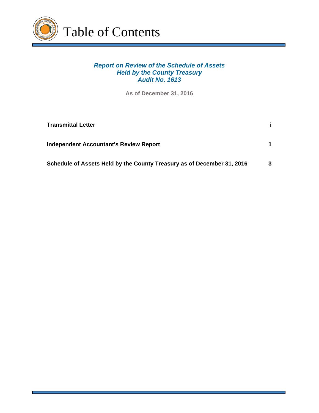

# *Report on Review of the Schedule of Assets Held by the County Treasury Audit No. 1613*

**As of December 31, 2016**

| <b>Transmittal Letter</b>                                              |   |
|------------------------------------------------------------------------|---|
| <b>Independent Accountant's Review Report</b>                          |   |
| Schedule of Assets Held by the County Treasury as of December 31, 2016 | 3 |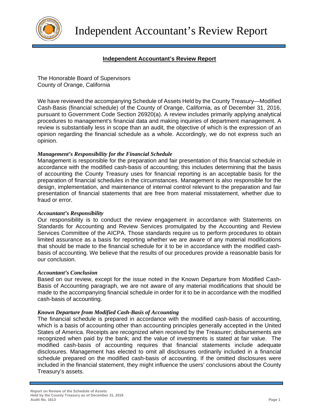

## **Independent Accountant's Review Report**

The Honorable Board of Supervisors County of Orange, California

We have reviewed the accompanying Schedule of Assets Held by the County Treasury—Modified Cash-Basis (financial schedule) of the County of Orange, California, as of December 31, 2016, pursuant to Government Code Section 26920(a). A review includes primarily applying analytical procedures to management's financial data and making inquiries of department management. A review is substantially less in scope than an audit, the objective of which is the expression of an opinion regarding the financial schedule as a whole. Accordingly, we do not express such an opinion.

### *Management's Responsibility for the Financial Schedule*

Management is responsible for the preparation and fair presentation of this financial schedule in accordance with the modified cash-basis of accounting; this includes determining that the basis of accounting the County Treasury uses for financial reporting is an acceptable basis for the preparation of financial schedules in the circumstances. Management is also responsible for the design, implementation, and maintenance of internal control relevant to the preparation and fair presentation of financial statements that are free from material misstatement, whether due to fraud or error.

#### *Accountant's Responsibility*

Our responsibility is to conduct the review engagement in accordance with Statements on Standards for Accounting and Review Services promulgated by the Accounting and Review Services Committee of the AICPA. Those standards require us to perform procedures to obtain limited assurance as a basis for reporting whether we are aware of any material modifications that should be made to the financial schedule for it to be in accordance with the modified cashbasis of accounting. We believe that the results of our procedures provide a reasonable basis for our conclusion.

#### *Accountant's Conclusion*

Based on our review, except for the issue noted in the Known Departure from Modified Cash-Basis of Accounting paragraph, we are not aware of any material modifications that should be made to the accompanying financial schedule in order for it to be in accordance with the modified cash-basis of accounting.

#### *Known Departure from Modified Cash-Basis of Accounting*

The financial schedule is prepared in accordance with the modified cash-basis of accounting, which is a basis of accounting other than accounting principles generally accepted in the United States of America. Receipts are recognized when received by the Treasurer; disbursements are recognized when paid by the bank; and the value of investments is stated at fair value. The modified cash-basis of accounting requires that financial statements include adequate disclosures. Management has elected to omit all disclosures ordinarily included in a financial schedule prepared on the modified cash-basis of accounting. If the omitted disclosures were included in the financial statement, they might influence the users' conclusions about the County Treasury's assets.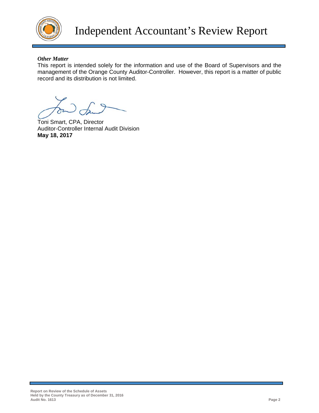

## *Other Matter*

This report is intended solely for the information and use of the Board of Supervisors and the management of the Orange County Auditor-Controller. However, this report is a matter of public record and its distribution is not limited.

Toni Smart, CPA, Director Auditor-Controller Internal Audit Division **May 18, 2017**